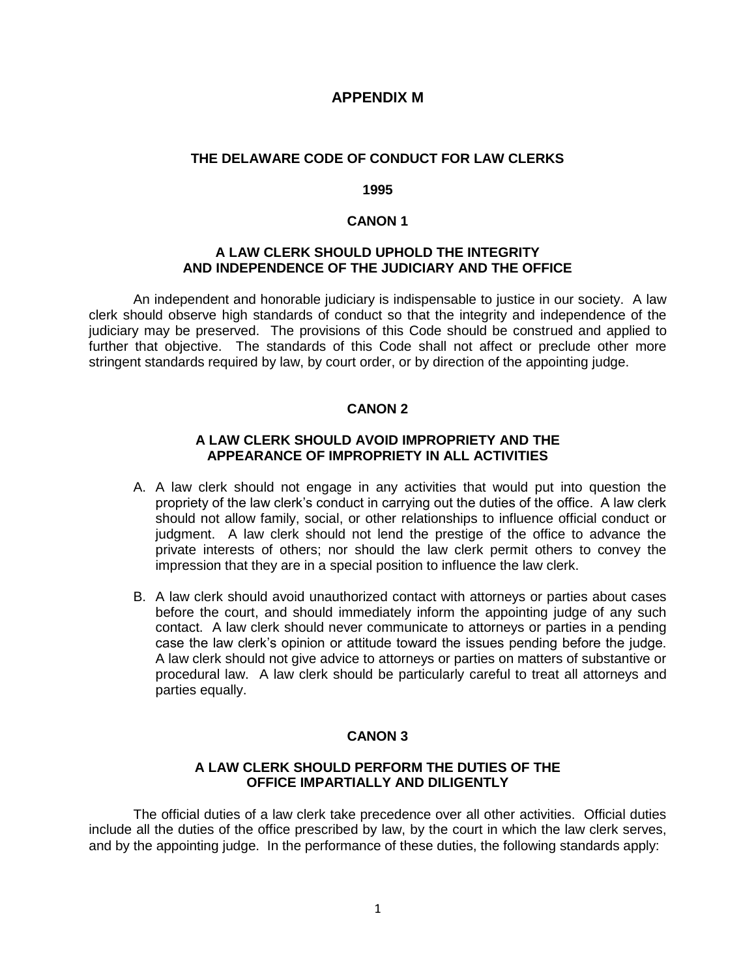# **APPENDIX M**

### **THE DELAWARE CODE OF CONDUCT FOR LAW CLERKS**

#### **1995**

#### **CANON 1**

## **A LAW CLERK SHOULD UPHOLD THE INTEGRITY AND INDEPENDENCE OF THE JUDICIARY AND THE OFFICE**

An independent and honorable judiciary is indispensable to justice in our society. A law clerk should observe high standards of conduct so that the integrity and independence of the judiciary may be preserved. The provisions of this Code should be construed and applied to further that objective. The standards of this Code shall not affect or preclude other more stringent standards required by law, by court order, or by direction of the appointing judge.

# **CANON 2**

#### **A LAW CLERK SHOULD AVOID IMPROPRIETY AND THE APPEARANCE OF IMPROPRIETY IN ALL ACTIVITIES**

- A. A law clerk should not engage in any activities that would put into question the propriety of the law clerk's conduct in carrying out the duties of the office. A law clerk should not allow family, social, or other relationships to influence official conduct or judgment. A law clerk should not lend the prestige of the office to advance the private interests of others; nor should the law clerk permit others to convey the impression that they are in a special position to influence the law clerk.
- B. A law clerk should avoid unauthorized contact with attorneys or parties about cases before the court, and should immediately inform the appointing judge of any such contact. A law clerk should never communicate to attorneys or parties in a pending case the law clerk's opinion or attitude toward the issues pending before the judge. A law clerk should not give advice to attorneys or parties on matters of substantive or procedural law. A law clerk should be particularly careful to treat all attorneys and parties equally.

## **CANON 3**

### **A LAW CLERK SHOULD PERFORM THE DUTIES OF THE OFFICE IMPARTIALLY AND DILIGENTLY**

The official duties of a law clerk take precedence over all other activities. Official duties include all the duties of the office prescribed by law, by the court in which the law clerk serves, and by the appointing judge. In the performance of these duties, the following standards apply: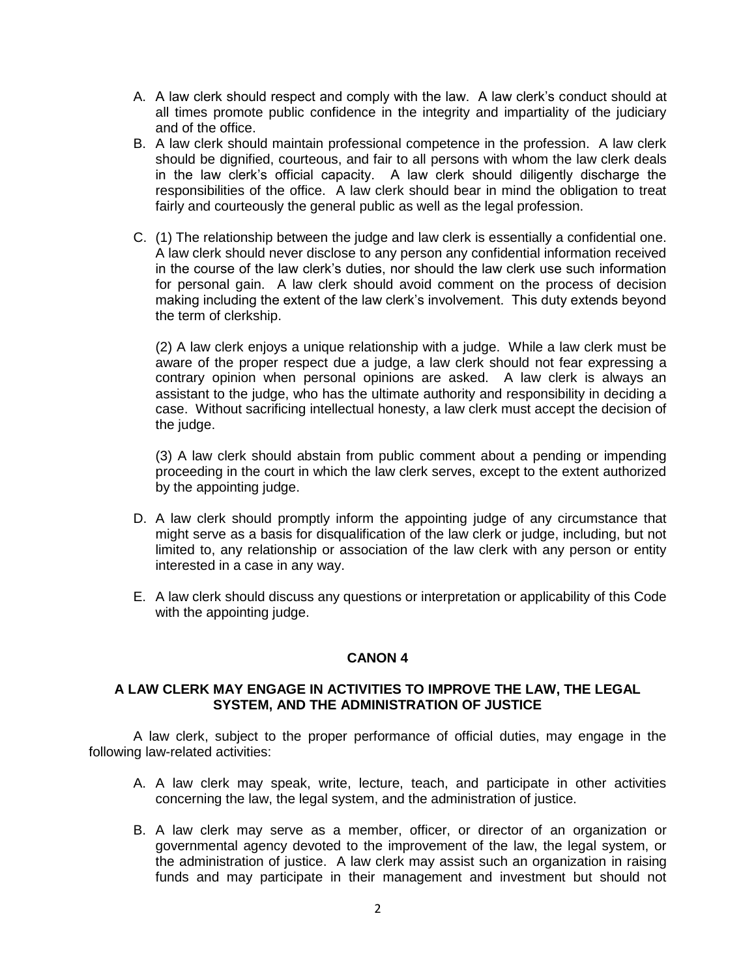- A. A law clerk should respect and comply with the law. A law clerk's conduct should at all times promote public confidence in the integrity and impartiality of the judiciary and of the office.
- B. A law clerk should maintain professional competence in the profession. A law clerk should be dignified, courteous, and fair to all persons with whom the law clerk deals in the law clerk's official capacity. A law clerk should diligently discharge the responsibilities of the office. A law clerk should bear in mind the obligation to treat fairly and courteously the general public as well as the legal profession.
- C. (1) The relationship between the judge and law clerk is essentially a confidential one. A law clerk should never disclose to any person any confidential information received in the course of the law clerk's duties, nor should the law clerk use such information for personal gain. A law clerk should avoid comment on the process of decision making including the extent of the law clerk's involvement. This duty extends beyond the term of clerkship.

(2) A law clerk enjoys a unique relationship with a judge. While a law clerk must be aware of the proper respect due a judge, a law clerk should not fear expressing a contrary opinion when personal opinions are asked. A law clerk is always an assistant to the judge, who has the ultimate authority and responsibility in deciding a case. Without sacrificing intellectual honesty, a law clerk must accept the decision of the judge.

(3) A law clerk should abstain from public comment about a pending or impending proceeding in the court in which the law clerk serves, except to the extent authorized by the appointing judge.

- D. A law clerk should promptly inform the appointing judge of any circumstance that might serve as a basis for disqualification of the law clerk or judge, including, but not limited to, any relationship or association of the law clerk with any person or entity interested in a case in any way.
- E. A law clerk should discuss any questions or interpretation or applicability of this Code with the appointing judge.

# **CANON 4**

### **A LAW CLERK MAY ENGAGE IN ACTIVITIES TO IMPROVE THE LAW, THE LEGAL SYSTEM, AND THE ADMINISTRATION OF JUSTICE**

A law clerk, subject to the proper performance of official duties, may engage in the following law-related activities:

- A. A law clerk may speak, write, lecture, teach, and participate in other activities concerning the law, the legal system, and the administration of justice.
- B. A law clerk may serve as a member, officer, or director of an organization or governmental agency devoted to the improvement of the law, the legal system, or the administration of justice. A law clerk may assist such an organization in raising funds and may participate in their management and investment but should not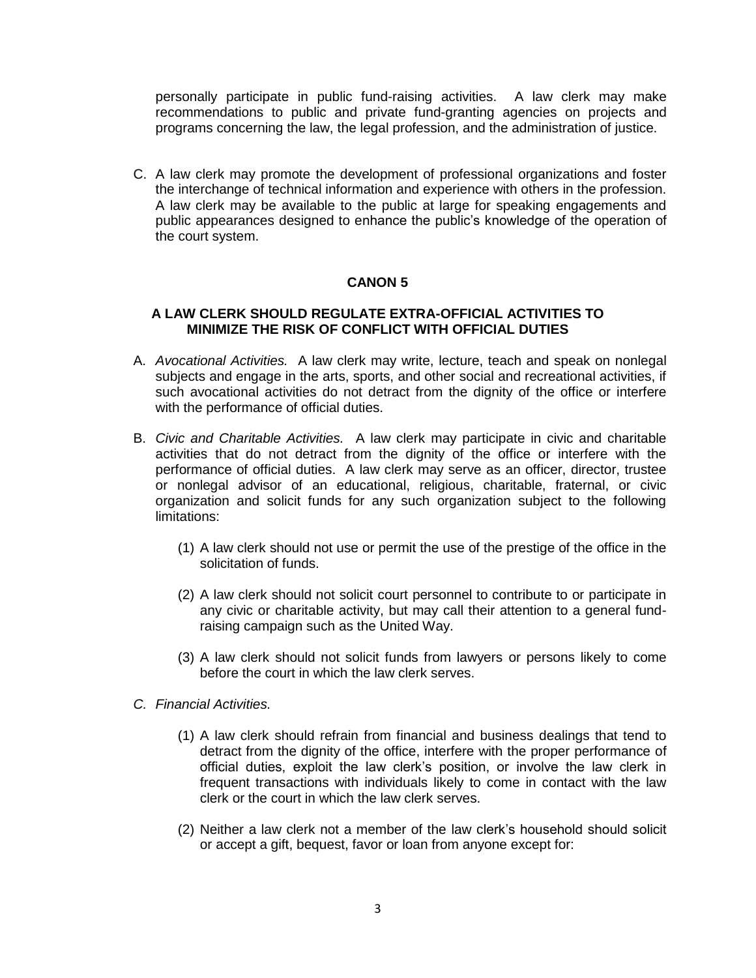personally participate in public fund-raising activities. A law clerk may make recommendations to public and private fund-granting agencies on projects and programs concerning the law, the legal profession, and the administration of justice.

C. A law clerk may promote the development of professional organizations and foster the interchange of technical information and experience with others in the profession. A law clerk may be available to the public at large for speaking engagements and public appearances designed to enhance the public's knowledge of the operation of the court system.

# **CANON 5**

## **A LAW CLERK SHOULD REGULATE EXTRA-OFFICIAL ACTIVITIES TO MINIMIZE THE RISK OF CONFLICT WITH OFFICIAL DUTIES**

- A. *Avocational Activities.* A law clerk may write, lecture, teach and speak on nonlegal subjects and engage in the arts, sports, and other social and recreational activities, if such avocational activities do not detract from the dignity of the office or interfere with the performance of official duties.
- B. *Civic and Charitable Activities.* A law clerk may participate in civic and charitable activities that do not detract from the dignity of the office or interfere with the performance of official duties. A law clerk may serve as an officer, director, trustee or nonlegal advisor of an educational, religious, charitable, fraternal, or civic organization and solicit funds for any such organization subject to the following limitations:
	- (1) A law clerk should not use or permit the use of the prestige of the office in the solicitation of funds.
	- (2) A law clerk should not solicit court personnel to contribute to or participate in any civic or charitable activity, but may call their attention to a general fundraising campaign such as the United Way.
	- (3) A law clerk should not solicit funds from lawyers or persons likely to come before the court in which the law clerk serves.
- *C. Financial Activities.* 
	- (1) A law clerk should refrain from financial and business dealings that tend to detract from the dignity of the office, interfere with the proper performance of official duties, exploit the law clerk's position, or involve the law clerk in frequent transactions with individuals likely to come in contact with the law clerk or the court in which the law clerk serves.
	- (2) Neither a law clerk not a member of the law clerk's household should solicit or accept a gift, bequest, favor or loan from anyone except for: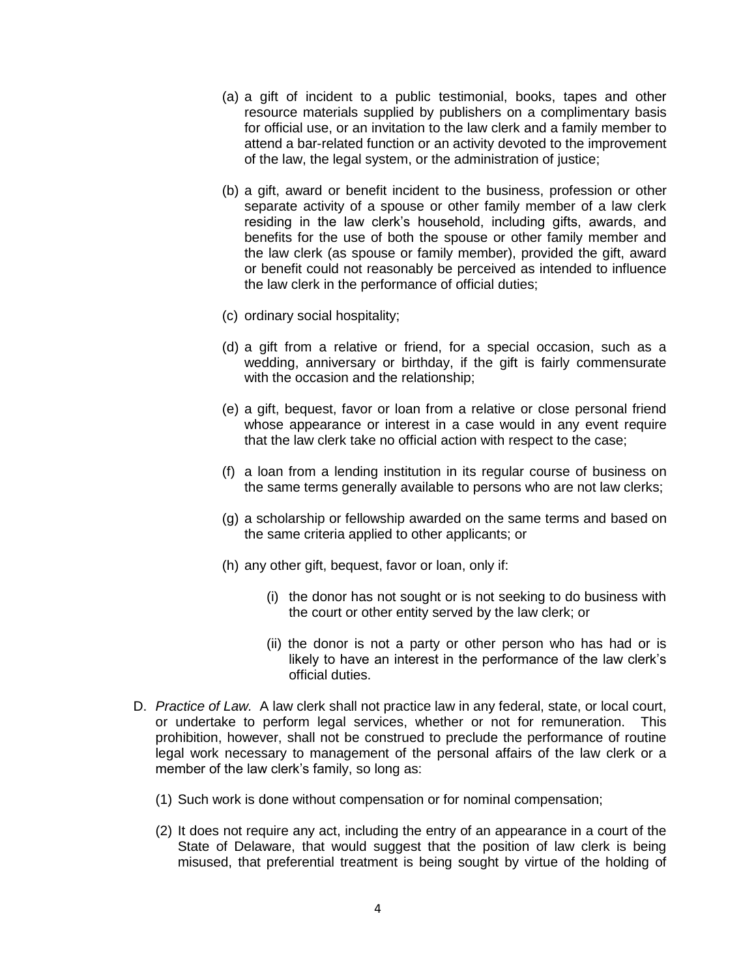- (a) a gift of incident to a public testimonial, books, tapes and other resource materials supplied by publishers on a complimentary basis for official use, or an invitation to the law clerk and a family member to attend a bar-related function or an activity devoted to the improvement of the law, the legal system, or the administration of justice;
- (b) a gift, award or benefit incident to the business, profession or other separate activity of a spouse or other family member of a law clerk residing in the law clerk's household, including gifts, awards, and benefits for the use of both the spouse or other family member and the law clerk (as spouse or family member), provided the gift, award or benefit could not reasonably be perceived as intended to influence the law clerk in the performance of official duties;
- (c) ordinary social hospitality;
- (d) a gift from a relative or friend, for a special occasion, such as a wedding, anniversary or birthday, if the gift is fairly commensurate with the occasion and the relationship;
- (e) a gift, bequest, favor or loan from a relative or close personal friend whose appearance or interest in a case would in any event require that the law clerk take no official action with respect to the case;
- (f) a loan from a lending institution in its regular course of business on the same terms generally available to persons who are not law clerks;
- (g) a scholarship or fellowship awarded on the same terms and based on the same criteria applied to other applicants; or
- (h) any other gift, bequest, favor or loan, only if:
	- (i) the donor has not sought or is not seeking to do business with the court or other entity served by the law clerk; or
	- (ii) the donor is not a party or other person who has had or is likely to have an interest in the performance of the law clerk's official duties.
- D. *Practice of Law.* A law clerk shall not practice law in any federal, state, or local court, or undertake to perform legal services, whether or not for remuneration. This prohibition, however, shall not be construed to preclude the performance of routine legal work necessary to management of the personal affairs of the law clerk or a member of the law clerk's family, so long as:
	- (1) Such work is done without compensation or for nominal compensation;
	- (2) It does not require any act, including the entry of an appearance in a court of the State of Delaware, that would suggest that the position of law clerk is being misused, that preferential treatment is being sought by virtue of the holding of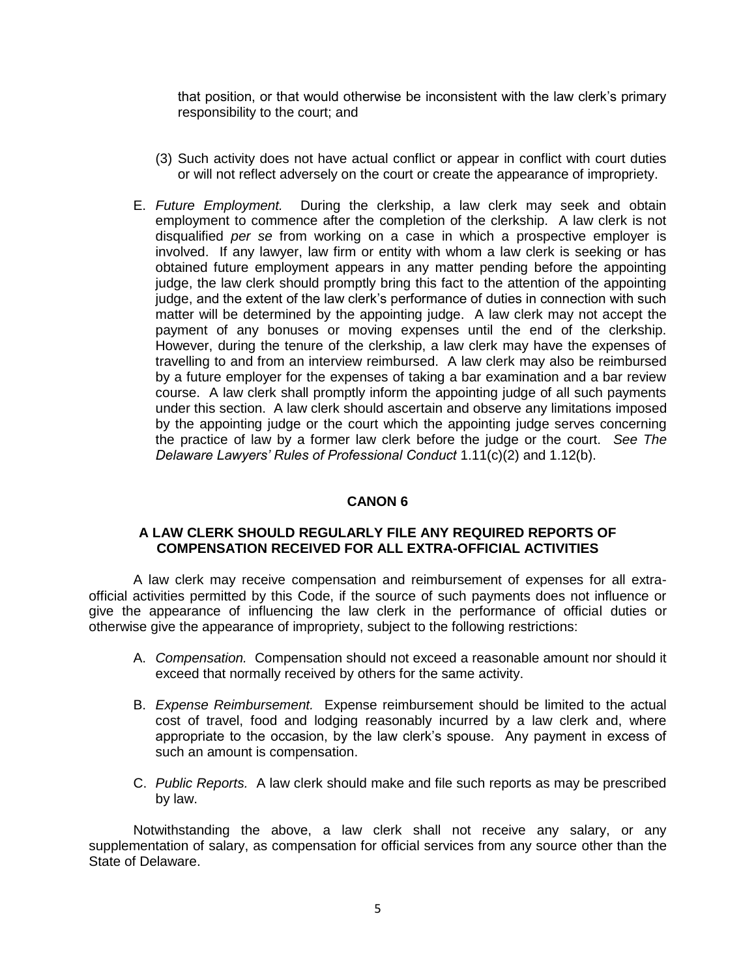that position, or that would otherwise be inconsistent with the law clerk's primary responsibility to the court; and

- (3) Such activity does not have actual conflict or appear in conflict with court duties or will not reflect adversely on the court or create the appearance of impropriety.
- E. *Future Employment.* During the clerkship, a law clerk may seek and obtain employment to commence after the completion of the clerkship. A law clerk is not disqualified *per se* from working on a case in which a prospective employer is involved. If any lawyer, law firm or entity with whom a law clerk is seeking or has obtained future employment appears in any matter pending before the appointing judge, the law clerk should promptly bring this fact to the attention of the appointing judge, and the extent of the law clerk's performance of duties in connection with such matter will be determined by the appointing judge. A law clerk may not accept the payment of any bonuses or moving expenses until the end of the clerkship. However, during the tenure of the clerkship, a law clerk may have the expenses of travelling to and from an interview reimbursed. A law clerk may also be reimbursed by a future employer for the expenses of taking a bar examination and a bar review course. A law clerk shall promptly inform the appointing judge of all such payments under this section. A law clerk should ascertain and observe any limitations imposed by the appointing judge or the court which the appointing judge serves concerning the practice of law by a former law clerk before the judge or the court. *See The Delaware Lawyers' Rules of Professional Conduct* 1.11(c)(2) and 1.12(b).

### **CANON 6**

### **A LAW CLERK SHOULD REGULARLY FILE ANY REQUIRED REPORTS OF COMPENSATION RECEIVED FOR ALL EXTRA-OFFICIAL ACTIVITIES**

A law clerk may receive compensation and reimbursement of expenses for all extraofficial activities permitted by this Code, if the source of such payments does not influence or give the appearance of influencing the law clerk in the performance of official duties or otherwise give the appearance of impropriety, subject to the following restrictions:

- A. *Compensation.* Compensation should not exceed a reasonable amount nor should it exceed that normally received by others for the same activity.
- B. *Expense Reimbursement.* Expense reimbursement should be limited to the actual cost of travel, food and lodging reasonably incurred by a law clerk and, where appropriate to the occasion, by the law clerk's spouse. Any payment in excess of such an amount is compensation.
- C. *Public Reports.* A law clerk should make and file such reports as may be prescribed by law.

Notwithstanding the above, a law clerk shall not receive any salary, or any supplementation of salary, as compensation for official services from any source other than the State of Delaware.